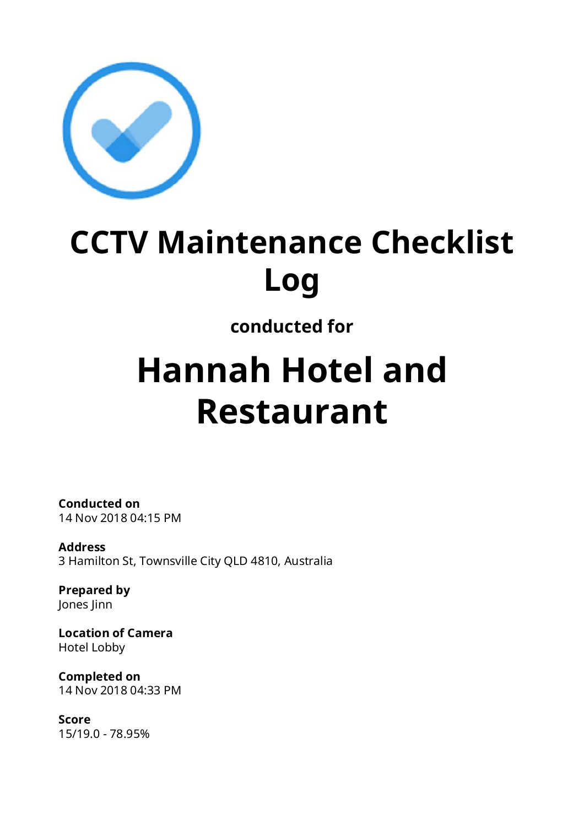

# **CCTV Maintenance Checklist Log**

# **conducted for**

# **Hannah Hotel and Restaurant**

**Conducted on** 14 Nov 2018 04:15 PM

**Address** 3 Hamilton St, Townsville City QLD 4810, Australia

**Prepared by** Jones Jinn

**Location of Camera** Hotel Lobby

**Completed on** 14 Nov 2018 04:33 PM

**Score** 15/19.0 - 78.95%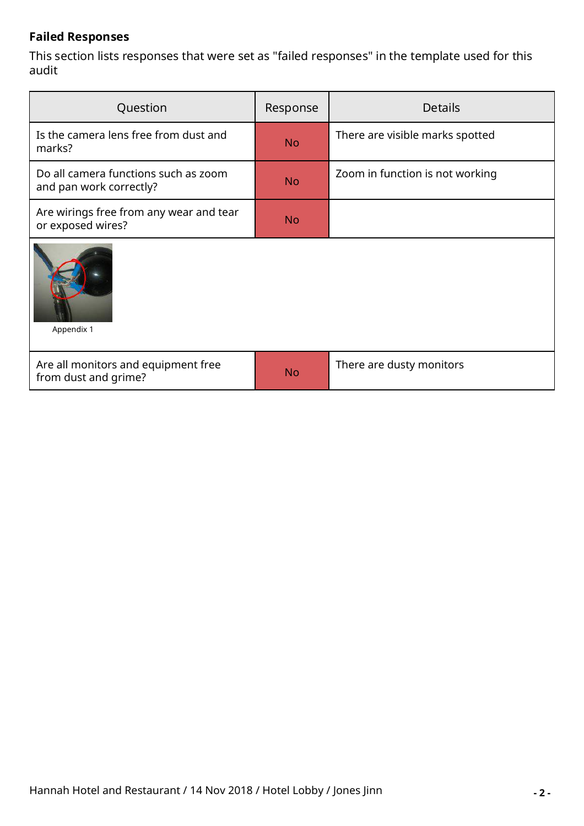#### **Failed Responses**

This section lists responses that were set as "failed responses" in the template used for this audit

| Question                                                        | Response  | <b>Details</b>                  |  |
|-----------------------------------------------------------------|-----------|---------------------------------|--|
| Is the camera lens free from dust and<br>marks?                 | <b>No</b> | There are visible marks spotted |  |
| Do all camera functions such as zoom<br>and pan work correctly? | <b>No</b> | Zoom in function is not working |  |
| Are wirings free from any wear and tear<br>or exposed wires?    | <b>No</b> |                                 |  |
| Appendix 1                                                      |           |                                 |  |
| Are all monitors and equipment free<br>from dust and grime?     | <b>No</b> | There are dusty monitors        |  |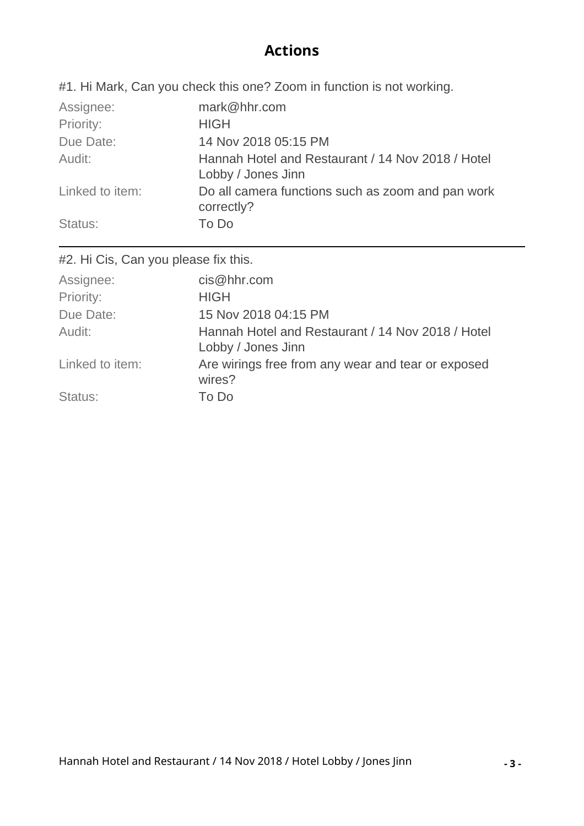### **Actions**

#1. Hi Mark, Can you check this one? Zoom in function is not working.

| Assignee:       | mark@hhr.com                                                            |
|-----------------|-------------------------------------------------------------------------|
| Priority:       | <b>HIGH</b>                                                             |
| Due Date:       | 14 Nov 2018 05:15 PM                                                    |
| Audit:          | Hannah Hotel and Restaurant / 14 Nov 2018 / Hotel<br>Lobby / Jones Jinn |
| Linked to item: | Do all camera functions such as zoom and pan work<br>correctly?         |
| Status:         | To Do                                                                   |

#2. Hi Cis, Can you please fix this.

| Assignee:       | cis@hhr.com                                        |
|-----------------|----------------------------------------------------|
| Priority:       | <b>HIGH</b>                                        |
| Due Date:       | 15 Nov 2018 04:15 PM                               |
| Audit:          | Hannah Hotel and Restaurant / 14 Nov 2018 / Hotel  |
|                 | Lobby / Jones Jinn                                 |
| Linked to item: | Are wirings free from any wear and tear or exposed |
|                 | wires?                                             |
| Status:         | To Do                                              |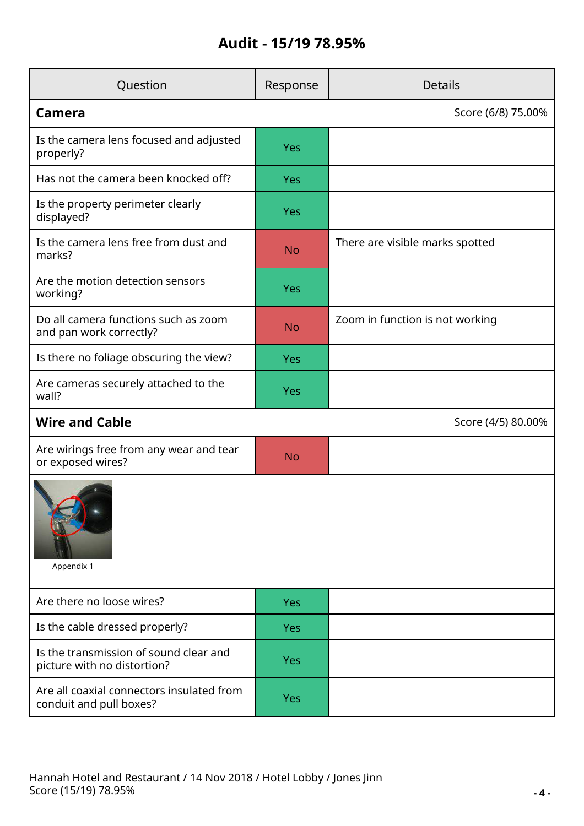## **Audit - 15/19 78.95%**

| Question                                                              | Response           | <b>Details</b>                  |  |
|-----------------------------------------------------------------------|--------------------|---------------------------------|--|
| Camera                                                                |                    | Score (6/8) 75.00%              |  |
| Is the camera lens focused and adjusted<br>properly?                  | <b>Yes</b>         |                                 |  |
| Has not the camera been knocked off?                                  | Yes                |                                 |  |
| Is the property perimeter clearly<br>displayed?                       | Yes                |                                 |  |
| Is the camera lens free from dust and<br>marks?                       | <b>No</b>          | There are visible marks spotted |  |
| Are the motion detection sensors<br>working?                          | Yes                |                                 |  |
| Do all camera functions such as zoom<br>and pan work correctly?       | <b>No</b>          | Zoom in function is not working |  |
| Is there no foliage obscuring the view?                               | <b>Yes</b>         |                                 |  |
| Are cameras securely attached to the<br>wall?                         | <b>Yes</b>         |                                 |  |
| <b>Wire and Cable</b>                                                 | Score (4/5) 80.00% |                                 |  |
| Are wirings free from any wear and tear<br>or exposed wires?          | <b>No</b>          |                                 |  |
| Appendix 1                                                            |                    |                                 |  |
| Are there no loose wires?                                             | <b>Yes</b>         |                                 |  |
| Is the cable dressed properly?                                        | <b>Yes</b>         |                                 |  |
| Is the transmission of sound clear and<br>picture with no distortion? | <b>Yes</b>         |                                 |  |
| Are all coaxial connectors insulated from<br>conduit and pull boxes?  | Yes                |                                 |  |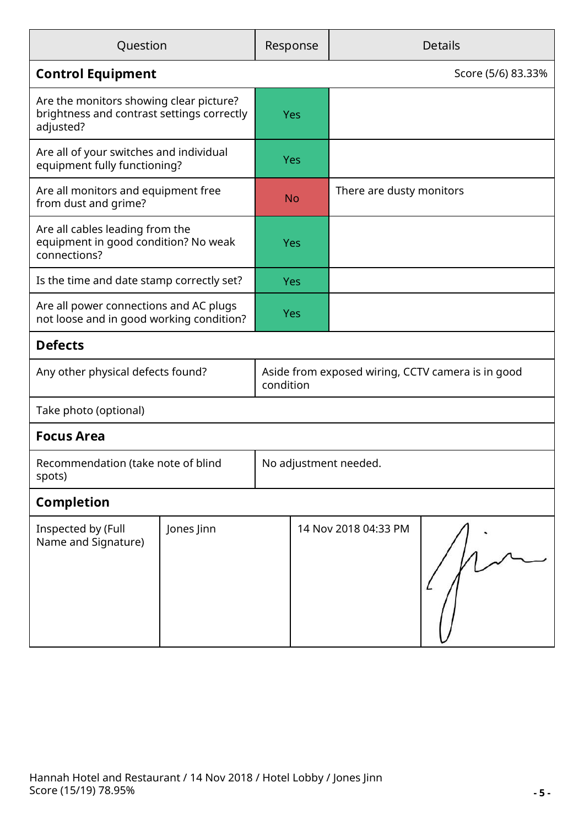| Question                                                                                           |            |                                                                | Response   | <b>Details</b>           |                    |
|----------------------------------------------------------------------------------------------------|------------|----------------------------------------------------------------|------------|--------------------------|--------------------|
| <b>Control Equipment</b>                                                                           |            |                                                                |            |                          | Score (5/6) 83.33% |
| Are the monitors showing clear picture?<br>brightness and contrast settings correctly<br>adjusted? |            |                                                                | <b>Yes</b> |                          |                    |
| Are all of your switches and individual<br>equipment fully functioning?                            |            |                                                                | <b>Yes</b> |                          |                    |
| Are all monitors and equipment free<br>from dust and grime?                                        |            |                                                                | <b>No</b>  | There are dusty monitors |                    |
| Are all cables leading from the<br>equipment in good condition? No weak<br>connections?            |            |                                                                | <b>Yes</b> |                          |                    |
| Is the time and date stamp correctly set?                                                          |            |                                                                | <b>Yes</b> |                          |                    |
| Are all power connections and AC plugs<br>not loose and in good working condition?                 |            |                                                                | <b>Yes</b> |                          |                    |
| <b>Defects</b>                                                                                     |            |                                                                |            |                          |                    |
| Any other physical defects found?                                                                  |            | Aside from exposed wiring, CCTV camera is in good<br>condition |            |                          |                    |
| Take photo (optional)                                                                              |            |                                                                |            |                          |                    |
| <b>Focus Area</b>                                                                                  |            |                                                                |            |                          |                    |
| Recommendation (take note of blind<br>spots)                                                       |            | No adjustment needed.                                          |            |                          |                    |
| <b>Completion</b>                                                                                  |            |                                                                |            |                          |                    |
| Inspected by (Full<br>Name and Signature)                                                          | Jones Jinn |                                                                |            | 14 Nov 2018 04:33 PM     |                    |